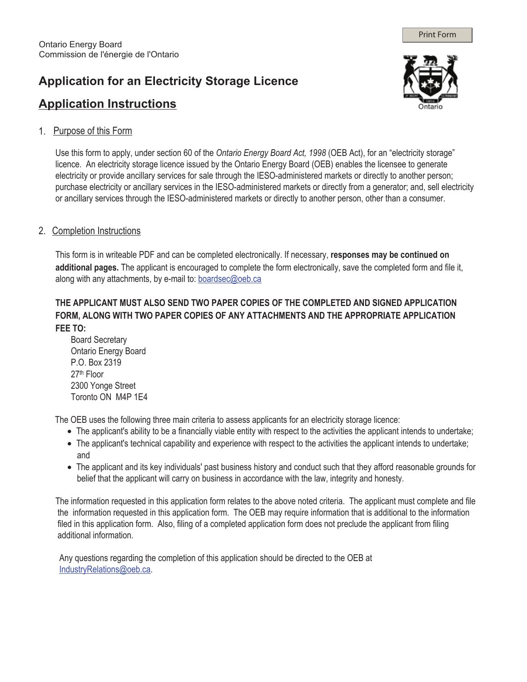# **Application for an Electricity Storage Licence**



Print Form

## **Application Instructions**

#### 1. Purpose of this Form

Use this form to apply, under section 60 of the *Ontario Energy Board Act, 1998* (OEB Act), for an "electricity storage" licence. An electricity storage licence issued by the Ontario Energy Board (OEB) enables the licensee to generate electricity or provide ancillary services for sale through the IESO-administered markets or directly to another person; purchase electricity or ancillary services in the IESO-administered markets or directly from a generator; and, sell electricity or ancillary services through the IESO-administered markets or directly to another person, other than a consumer.

#### 2. Completion Instructions

This form is in writeable PDF and can be completed electronically. If necessary, **responses may be continued on additional pages.** The applicant is encouraged to complete the form electronically, save the completed form and file it, along with any attachments, by e-mail to: boardsec@oeb.ca

#### **THE APPLICANT MUST ALSO SEND TWO PAPER COPIES OF THE COMPLETED AND SIGNED APPLICATION FORM, ALONG WITH TWO PAPER COPIES OF ANY ATTACHMENTS AND THE APPROPRIATE APPLICATION FEE TO:**

Board Secretary Ontario Energy Board P.O. Box 2319 27th Floor 2300 Yonge Street Toronto ON M4P 1E4

The OEB uses the following three main criteria to assess applicants for an electricity storage licence:

- The applicant's ability to be a financially viable entity with respect to the activities the applicant intends to undertake;
- The applicant's technical capability and experience with respect to the activities the applicant intends to undertake; and
- The applicant and its key individuals' past business history and conduct such that they afford reasonable grounds for belief that the applicant will carry on business in accordance with the law, integrity and honesty.

The information requested in this application form relates to the above noted criteria. The applicant must complete and file the information requested in this application form. The OEB may require information that is additional to the information filed in this application form. Also, filing of a completed application form does not preclude the applicant from filing additional information.

 Any questions regarding the completion of this application should be directed to the OEB at IndustryRelations@oeb.ca.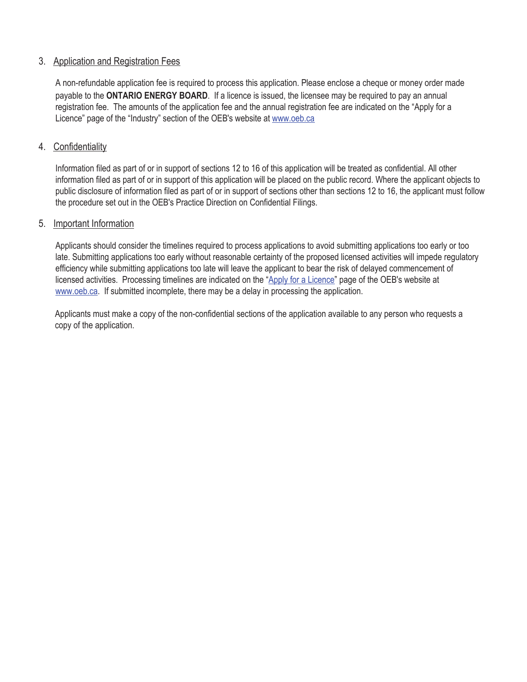#### 3. Application and Registration Fees

A non-refundable application fee is required to process this application. Please enclose a cheque or money order made payable to the **ONTARIO ENERGY BOARD**. If a licence is issued, the licensee may be required to pay an annual registration fee. The amounts of the application fee and the annual registration fee are indicated on the "Apply for a Licence" page of the "Industry" section of the OEB's website at www.oeb.ca

#### 4. Confidentiality

Information filed as part of or in support of sections 12 to 16 of this application will be treated as confidential. All other information filed as part of or in support of this application will be placed on the public record. Where the applicant objects to public disclosure of information filed as part of or in support of sections other than sections 12 to 16, the applicant must follow the procedure set out in the OEB's Practice Direction on Confidential Filings.

#### 5. Important Information

Applicants should consider the timelines required to process applications to avoid submitting applications too early or too late. Submitting applications too early without reasonable certainty of the proposed licensed activities will impede regulatory efficiency while submitting applications too late will leave the applicant to bear the risk of delayed commencement of licensed activities. Processing timelines are indicated on the "Apply for a Licence" page of the OEB's website at www.oeb.ca. If submitted incomplete, there may be a delay in processing the application.

 Applicants must make a copy of the non-confidential sections of the application available to any person who requests a copy of the application.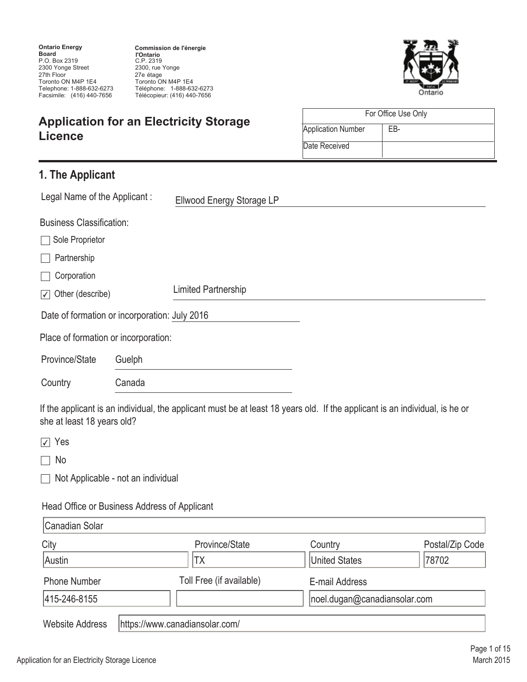Facsimile: (416) 440-7656 Telephone: 1-888-632-6273 Toronto ON M4P 1E4 27th Floor 2300 Yonge Street P.O. Box 2319 **Board Ontario Energy** 

Télécopieur: (416) 440-7656 Téléphone: 1-888-632-6273 Toronto ON M4P 1E4 27e étage 2300, rue Yonge C.P. 2319 **l'Ontario Commission de l'énergie** 



For Office Use Only

EB-

Application Number

Date Received

## **Application for an Electricity Storage Licence**

## **1. The Applicant**

| Legal Name of the Applicant:                                                                                                                              |
|-----------------------------------------------------------------------------------------------------------------------------------------------------------|
| Ellwood Energy Storage LP                                                                                                                                 |
| <b>Business Classification:</b>                                                                                                                           |
| Sole Proprietor                                                                                                                                           |
| Partnership                                                                                                                                               |
| Corporation                                                                                                                                               |
| <b>Limited Partnership</b><br>Other (describe)<br>$\sqrt{ }$                                                                                              |
| Date of formation or incorporation: July 2016                                                                                                             |
| Place of formation or incorporation:                                                                                                                      |
| Province/State<br>Guelph                                                                                                                                  |
| Canada<br>Country                                                                                                                                         |
| If the applicant is an individual, the applicant must be at least 18 years old. If the applicant is an individual, is he or<br>she at least 18 years old? |
| $\sqrt{ }$ Yes                                                                                                                                            |
| No                                                                                                                                                        |
| Not Applicable - not an individual                                                                                                                        |
| Head Office or Business Address of Applicant<br>Concelian Color                                                                                           |

| Canadian Solar         |                                |                              |                 |
|------------------------|--------------------------------|------------------------------|-----------------|
| City                   | Province/State                 | Country                      | Postal/Zip Code |
| Austin                 | TX                             | <b>United States</b>         | 78702           |
| <b>Phone Number</b>    | Toll Free (if available)       | E-mail Address               |                 |
| 415-246-8155           |                                | noel.dugan@canadiansolar.com |                 |
| <b>Website Address</b> | https://www.canadiansolar.com/ |                              |                 |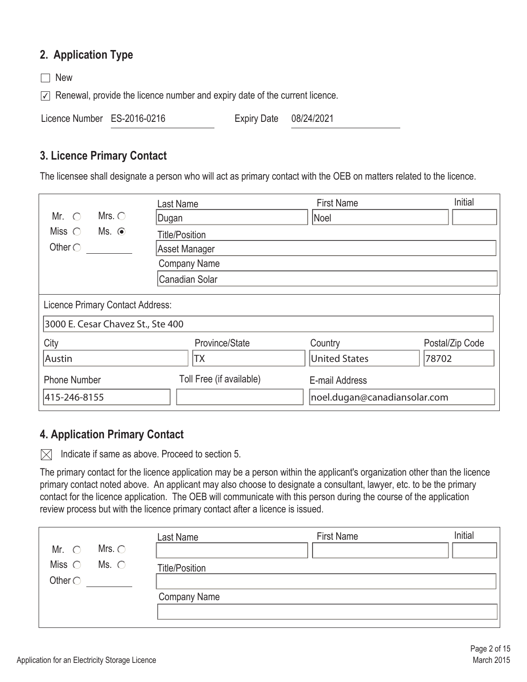### **2. Application Type**

□ New

 $\triangledown$  Renewal, provide the licence number and expiry date of the current licence.

#### **3. Licence Primary Contact**

The licensee shall designate a person who will act as primary contact with the OEB on matters related to the licence.

| Mrs. $\bigcirc$<br>Mr. $\bigcirc$                    | Last Name<br>Dugan                                                              | <b>First Name</b><br>Noel                      | Initial         |  |
|------------------------------------------------------|---------------------------------------------------------------------------------|------------------------------------------------|-----------------|--|
| Miss $\bigcirc$<br>$Ms.$ $\odot$<br>Other $\bigcirc$ | <b>Title/Position</b><br>Asset Manager<br><b>Company Name</b><br>Canadian Solar |                                                |                 |  |
| Licence Primary Contact Address:                     |                                                                                 |                                                |                 |  |
| 3000 E. Cesar Chavez St., Ste 400                    |                                                                                 |                                                |                 |  |
| City                                                 | Province/State                                                                  | Country                                        | Postal/Zip Code |  |
| Austin                                               | ТX                                                                              | United States                                  | 78702           |  |
| <b>Phone Number</b><br>415-246-8155                  | Toll Free (if available)                                                        | E-mail Address<br>noel.dugan@canadiansolar.com |                 |  |

#### **4. Application Primary Contact**

 $\boxtimes$  Indicate if same as above. Proceed to section 5.

The primary contact for the licence application may be a person within the applicant's organization other than the licence primary contact noted above. An applicant may also choose to designate a consultant, lawyer, etc. to be the primary contact for the licence application. The OEB will communicate with this person during the course of the application review process but with the licence primary contact after a licence is issued.

|                 |                 | Last Name             | <b>First Name</b> | Initial |
|-----------------|-----------------|-----------------------|-------------------|---------|
| Mr. $\bigcirc$  | Mrs. $\bigcirc$ |                       |                   |         |
| Miss $\bigcirc$ | Ms. $\bigcirc$  | <b>Title/Position</b> |                   |         |
| Other $\subset$ |                 |                       |                   |         |
|                 |                 | <b>Company Name</b>   |                   |         |
|                 |                 |                       |                   |         |
|                 |                 |                       |                   |         |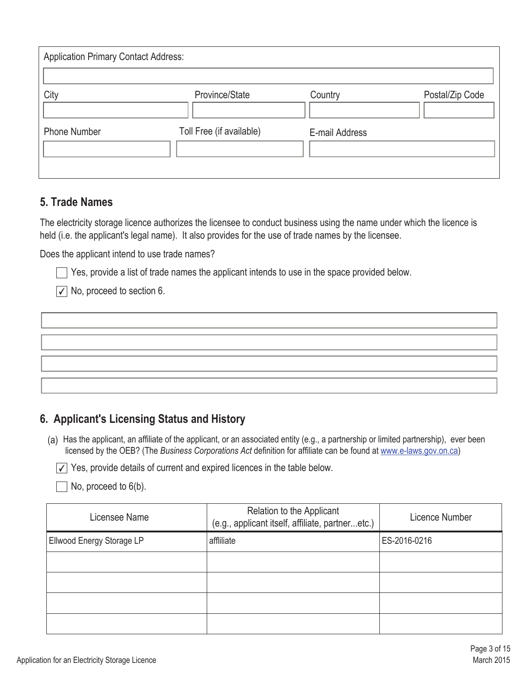| <b>Application Primary Contact Address:</b> |                          |                |                 |
|---------------------------------------------|--------------------------|----------------|-----------------|
| City                                        | Province/State           | Country        | Postal/Zip Code |
| <b>Phone Number</b>                         | Toll Free (if available) | E-mail Address |                 |

#### **5. Trade Names**

The electricity storage licence authorizes the licensee to conduct business using the name under which the licence is held (i.e. the applicant's legal name). It also provides for the use of trade names by the licensee.

Does the applicant intend to use trade names?

 $\Box$  Yes, provide a list of trade names the applicant intends to use in the space provided below.

 $\sqrt{\phantom{a}}$  No, proceed to section 6.

### **6. Applicant's Licensing Status and History**

(a) Has the applicant, an affiliate of the applicant, or an associated entity (e.g., a partnership or limited partnership), ever been licensed by the OEB? (The *Business Corporations Act* definition for affiliate can be found at www.e-laws.gov.on.ca)

 $\overline{\phantom{0}}$   $\sqrt{\ }$  Yes, provide details of current and expired licences in the table below.

 $\Box$  No, proceed to 6(b).

| Licensee Name             | Relation to the Applicant<br>(e.g., applicant itself, affiliate, partneretc.) | Licence Number |
|---------------------------|-------------------------------------------------------------------------------|----------------|
| Ellwood Energy Storage LP | affliliate                                                                    | ES-2016-0216   |
|                           |                                                                               |                |
|                           |                                                                               |                |
|                           |                                                                               |                |
|                           |                                                                               |                |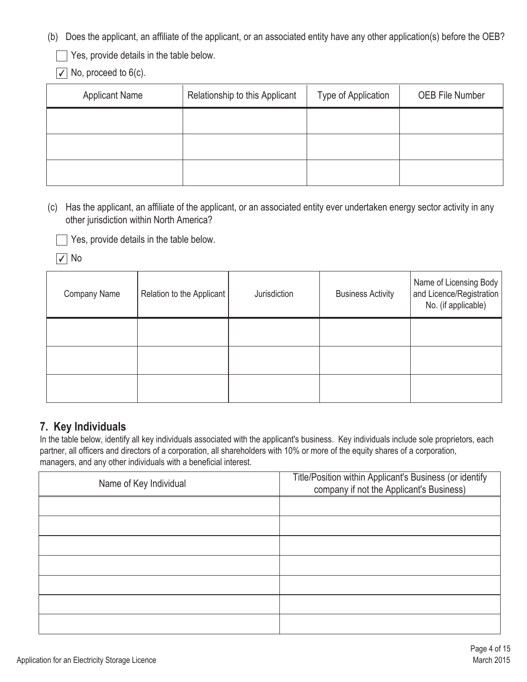(b) Does the applicant, an affiliate of the applicant, or an associated entity have any other application(s) before the OEB?

Yes, provide details in the table below.

 $\sqrt{\phantom{a}}$  No, proceed to 6(c).

| <b>Applicant Name</b> | Relationship to this Applicant | Type of Application | <b>OEB File Number</b> |
|-----------------------|--------------------------------|---------------------|------------------------|
|                       |                                |                     |                        |
|                       |                                |                     |                        |
|                       |                                |                     |                        |

Has the applicant, an affiliate of the applicant, or an associated entity ever undertaken energy sector activity in any (c) other jurisdiction within North America?

 $\Box$  Yes, provide details in the table below.

✔ No

| Company Name | Relation to the Applicant | Jurisdiction | <b>Business Activity</b> | Name of Licensing Body<br>and Licence/Registration<br>No. (if applicable) |
|--------------|---------------------------|--------------|--------------------------|---------------------------------------------------------------------------|
|              |                           |              |                          |                                                                           |
|              |                           |              |                          |                                                                           |
|              |                           |              |                          |                                                                           |

#### **7. Key Individuals**

In the table below, identify all key individuals associated with the applicant's business. Key individuals include sole proprietors, each partner, all officers and directors of a corporation, all shareholders with 10% or more of the equity shares of a corporation, managers, and any other individuals with a beneficial interest.

| Name of Key Individual | Title/Position within Applicant's Business (or identify<br>company if not the Applicant's Business) |
|------------------------|-----------------------------------------------------------------------------------------------------|
|                        |                                                                                                     |
|                        |                                                                                                     |
|                        |                                                                                                     |
|                        |                                                                                                     |
|                        |                                                                                                     |
|                        |                                                                                                     |
|                        |                                                                                                     |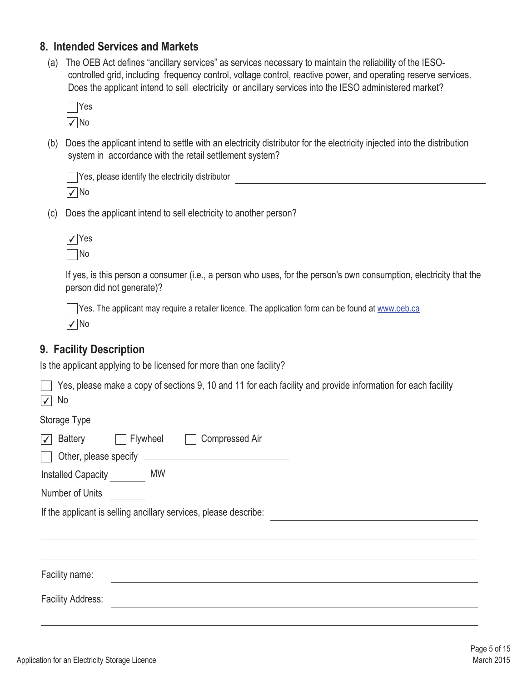#### **8. Intended Services and Markets**

(a) The OEB Act defines "ancillary services" as services necessary to maintain the reliability of the IESO controlled grid, including frequency control, voltage control, reactive power, and operating reserve services. Does the applicant intend to sell electricity or ancillary services into the IESO administered market?

Does the applicant intend to settle with an electricity distributor for the electricity injected into the distribution (b) system in accordance with the retail settlement system?

| Yes, please identify the electricity distributor |  |
|--------------------------------------------------|--|
| $\sqrt{N}$                                       |  |

(c) Does the applicant intend to sell electricity to another person?

If yes, is this person a consumer (i.e., a person who uses, for the person's own consumption, electricity that the person did not generate)?

TYes. The applicant may require a retailer licence. The application form can be found at www.oeb.ca ✔ No

### **9. Facility Description**

Is the applicant applying to be licensed for more than one facility?

| Yes, please make a copy of sections 9, 10 and 11 for each facility and provide information for each facility<br>No<br>$\sqrt{}$ |
|---------------------------------------------------------------------------------------------------------------------------------|
| Storage Type                                                                                                                    |
| <b>Flywheel</b>  <br><b>Compressed Air</b><br>Battery<br>$\sqrt{}$                                                              |
|                                                                                                                                 |
| Installed Capacity _________ MW                                                                                                 |
| Number of Units                                                                                                                 |
| If the applicant is selling ancillary services, please describe:                                                                |
|                                                                                                                                 |
|                                                                                                                                 |
| Facility name:                                                                                                                  |
| <b>Facility Address:</b>                                                                                                        |
|                                                                                                                                 |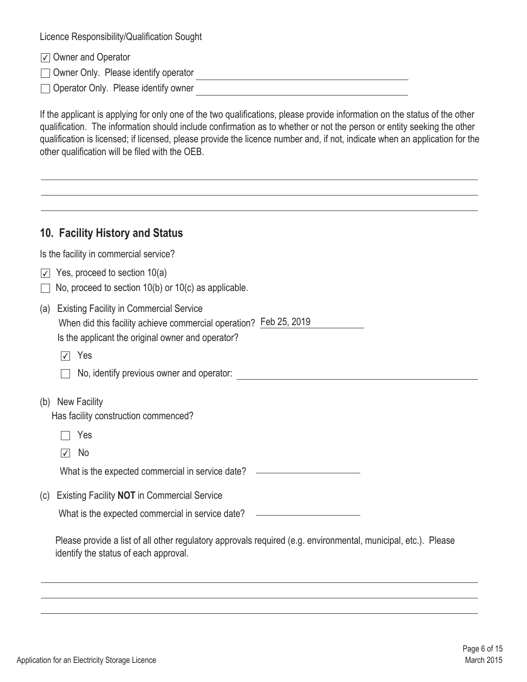|  |  | Licence Responsibility/Qualification Sought |  |
|--|--|---------------------------------------------|--|
|--|--|---------------------------------------------|--|

|  |  | $\sqrt{ }$ Owner and Operator |
|--|--|-------------------------------|
|--|--|-------------------------------|

Owner Only. Please identify operator

□ Operator Only. Please identify owner

If the applicant is applying for only one of the two qualifications, please provide information on the status of the other qualification. The information should include confirmation as to whether or not the person or entity seeking the other qualification is licensed; if licensed, please provide the licence number and, if not, indicate when an application for the other qualification will be filed with the OEB.

#### **10. Facility History and Status**

Is the facility in commercial service?

- $\triangledown$  Yes, proceed to section 10(a)
- No, proceed to section 10(b) or 10(c) as applicable.
- (a) Existing Facility in Commercial Service When did this facility achieve commercial operation? Feb 25, 2019 Is the applicant the original owner and operator?
	- ✔ Yes
	- No, identify previous owner and operator: <u>contract and contract and contract and contract and contract and contract and contract and contract and contract and contract and contract and contract and contract and contract a</u>
- (b) New Facility

Has facility construction commenced?

- Yes
- ✔ No

What is the expected commercial in service date? \_\_\_\_\_\_\_\_\_\_\_\_\_\_\_\_\_\_\_\_\_\_\_\_\_\_\_\_\_\_\_

(c) Existing Facility **NOT** in Commercial Service

What is the expected commercial in service date? \_\_\_\_\_\_\_\_\_\_\_\_\_\_\_\_\_\_\_\_\_\_\_\_\_\_\_\_\_\_\_

Please provide a list of all other regulatory approvals required (e.g. environmental, municipal, etc.). Please identify the status of each approval.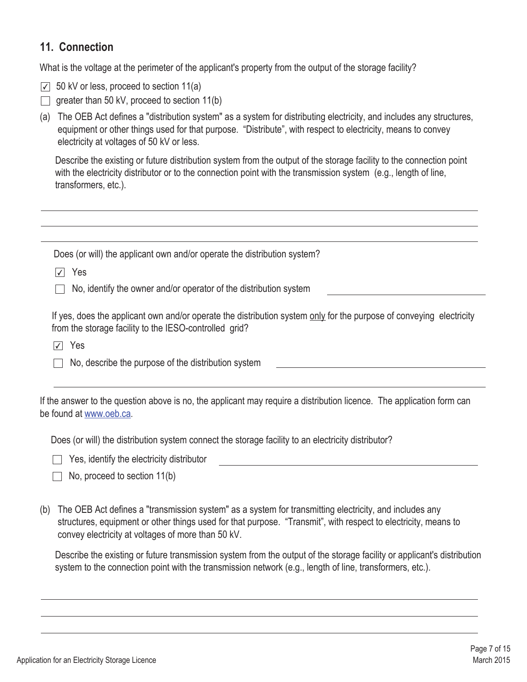### **11. Connection**

What is the voltage at the perimeter of the applicant's property from the output of the storage facility?

- $\overline{\vee}$  50 kV or less, proceed to section 11(a)
- $\Box$  greater than 50 kV, proceed to section 11(b)
- The OEB Act defines a "distribution system" as a system for distributing electricity, and includes any structures, (a) equipment or other things used for that purpose. "Distribute", with respect to electricity, means to convey electricity at voltages of 50 kV or less.

Describe the existing or future distribution system from the output of the storage facility to the connection point with the electricity distributor or to the connection point with the transmission system (e.g., length of line, transformers, etc.).

|                     | Does (or will) the applicant own and/or operate the distribution system?                                                                                                      |
|---------------------|-------------------------------------------------------------------------------------------------------------------------------------------------------------------------------|
| Yes<br>$\checkmark$ |                                                                                                                                                                               |
|                     | No, identify the owner and/or operator of the distribution system                                                                                                             |
|                     | If yes, does the applicant own and/or operate the distribution system only for the purpose of conveying electricity<br>from the storage facility to the IESO-controlled grid? |
| Yes                 |                                                                                                                                                                               |
|                     | No, describe the purpose of the distribution system                                                                                                                           |

Does (or will) the distribution system connect the storage facility to an electricity distributor?

| $\Box$ Yes, identify the electricity distributor |
|--------------------------------------------------|
|--------------------------------------------------|

- $\Box$  No, proceed to section 11(b)
- The OEB Act defines a "transmission system" as a system for transmitting electricity, and includes any (b) structures, equipment or other things used for that purpose. "Transmit", with respect to electricity, means to convey electricity at voltages of more than 50 kV.

Describe the existing or future transmission system from the output of the storage facility or applicant's distribution system to the connection point with the transmission network (e.g., length of line, transformers, etc.).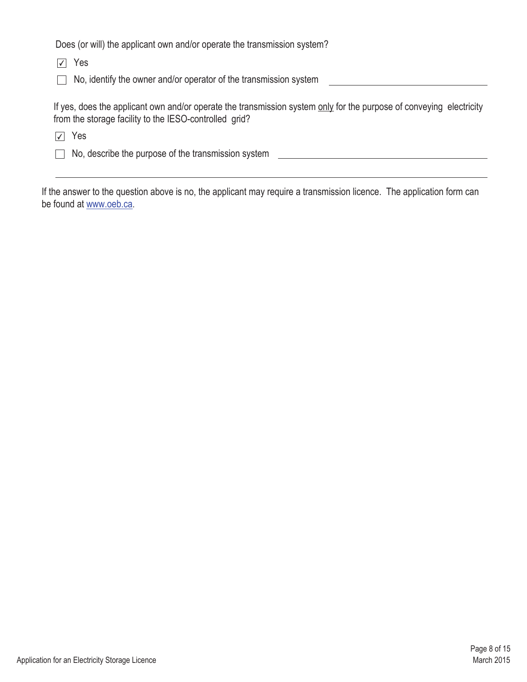Does (or will) the applicant own and/or operate the transmission system?

✔ Yes

 $\Box$  No, identify the owner and/or operator of the transmission system

If yes, does the applicant own and/or operate the transmission system only for the purpose of conveying electricity from the storage facility to the IESO-controlled grid?

✔ Yes

 $\Box$  No, describe the purpose of the transmission system

If the answer to the question above is no, the applicant may require a transmission licence. The application form can be found at www.oeb.ca.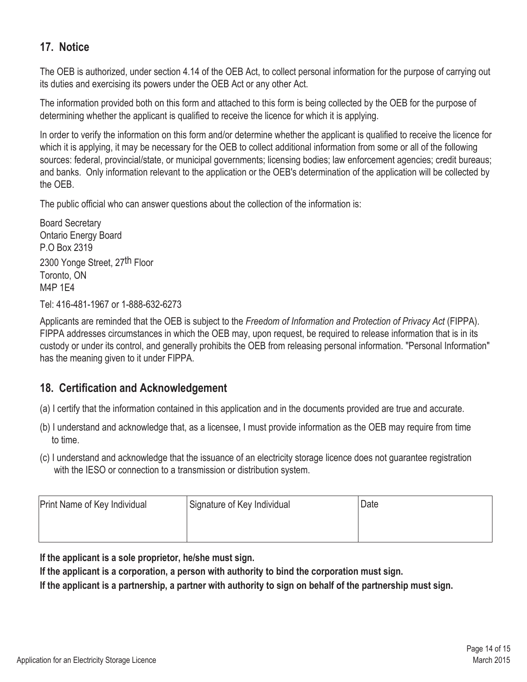## **17. Notice**

The OEB is authorized, under section 4.14 of the OEB Act, to collect personal information for the purpose of carrying out its duties and exercising its powers under the OEB Act or any other Act.

 The information provided both on this form and attached to this form is being collected by the OEB for the purpose of determining whether the applicant is qualified to receive the licence for which it is applying.

 In order to verify the information on this form and/or determine whether the applicant is qualified to receive the licence for which it is applying, it may be necessary for the OEB to collect additional information from some or all of the following sources: federal, provincial/state, or municipal governments; licensing bodies; law enforcement agencies; credit bureaus; and banks. Only information relevant to the application or the OEB's determination of the application will be collected by the OEB.

The public official who can answer questions about the collection of the information is:

 Board Secretary Ontario Energy Board P.O Box 2319 2300 Yonge Street, 27<sup>th</sup> Floor Toronto, ON M4P 1E4

Tel: 416-481-1967 or 1-888-632-6273

 Applicants are reminded that the OEB is subject to the *Freedom of Information and Protection of Privacy Act* (FIPPA). FIPPA addresses circumstances in which the OEB may, upon request, be required to release information that is in its custody or under its control, and generally prohibits the OEB from releasing personal information. "Personal Information" has the meaning given to it under FIPPA.

### **18. Certification and Acknowledgement**

- (a) I certify that the information contained in this application and in the documents provided are true and accurate.
- (b) I understand and acknowledge that, as a licensee, I must provide information as the OEB may require from time to time.
- (c) I understand and acknowledge that the issuance of an electricity storage licence does not guarantee registration with the IESO or connection to a transmission or distribution system.

| <b>Print Name of Key Individual</b> | Signature of Key Individual | Date |
|-------------------------------------|-----------------------------|------|
|                                     |                             |      |

**If the applicant is a sole proprietor, he/she must sign.** 

**If the applicant is a corporation, a person with authority to bind the corporation must sign.** 

**If the applicant is a partnership, a partner with authority to sign on behalf of the partnership must sign.**